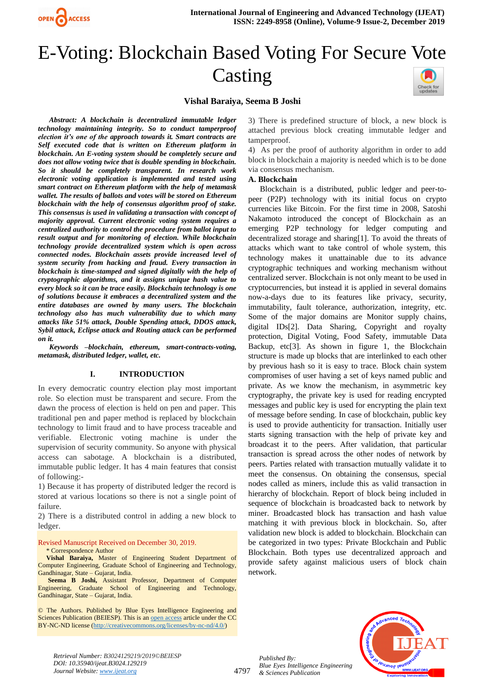

# E-Voting: Blockchain Based Voting For Secure Vote Casting

## **Vishal Baraiya, Seema B Joshi**

*Abstract: A blockchain is decentralized immutable ledger technology maintaining integrity. So to conduct tamperproof election it's one of the approach towards it. Smart contracts are Self executed code that is written on Ethereum platform in blockchain. An E-voting system should be completely secure and does not allow voting twice that is double spending in blockchain. So it should be completely transparent. In research work electronic voting application is implemented and tested using smart contract on Ethereum platform with the help of metamask wallet. The results of ballots and votes will be stored on Ethereum blockchain with the help of consensus algorithm proof of stake. This consensus is used in validating a transaction with concept of majority approval. Current electronic voting system requires a centralized authority to control the procedure from ballot input to result output and for monitoring of election. While blockchain technology provide decentralized system which is open across connected nodes. Blockchain assets provide increased level of system security from hacking and fraud. Every transaction in blockchain is time-stamped and signed digitally with the help of cryptographic algorithms, and it assigns unique hash value to every block so it can be trace easily. Blockchain technology is one of solutions because it embraces a decentralized system and the entire databases are owned by many users. The blockchain technology also has much vulnerability due to which many attacks like 51% attack, Double Spending attack, DDOS attack, Sybil attack, Eclipse attack and Routing attack can be performed on it.* 

*Keywords –blockchain, ethereum, smart-contracts-voting, metamask, distributed ledger, wallet, etc.*

#### **I. INTRODUCTION**

In every democratic country election play most important role. So election must be transparent and secure. From the dawn the process of election is held on pen and paper. This traditional pen and paper method is replaced by blockchain technology to limit fraud and to have process traceable and verifiable. Electronic voting machine is under the supervision of security community. So anyone with physical access can sabotage. A blockchain is a distributed, immutable public ledger. It has 4 main features that consist of following:-

1) Because it has property of distributed ledger the record is stored at various locations so there is not a single point of failure.

2) There is a distributed control in adding a new block to ledger.

Revised Manuscript Received on December 30, 2019. \* Correspondence Author

**Vishal Baraiya,** Master of Engineering Student Department of Computer Engineering, Graduate School of Engineering and Technology, Gandhinagar, State – Gujarat, India.

**Seema B Joshi,** Assistant Professor, Department of Computer Engineering, Graduate School of Engineering and Technology, Gandhinagar, State – Gujarat, India.

© The Authors. Published by Blue Eyes Intelligence Engineering and Sciences Publication (BEIESP). This is a[n open access](https://www.openaccess.nl/en/open-publications) article under the CC BY-NC-ND license [\(http://creativecommons.org/licenses/by-nc-nd/4.0/\)](http://creativecommons.org/licenses/by-nc-nd/4.0/)

3) There is predefined structure of block, a new block is attached previous block creating immutable ledger and tamperproof.

4) As per the proof of authority algorithm in order to add block in blockchain a majority is needed which is to be done via consensus mechanism.

#### **A. Blockchain**

Blockchain is a distributed, public ledger and peer-topeer (P2P) technology with its initial focus on crypto currencies like Bitcoin. For the first time in 2008, Satoshi Nakamoto introduced the concept of Blockchain as an emerging P2P technology for ledger computing and decentralized storage and sharing[1]. To avoid the threats of attacks which want to take control of whole system, this technology makes it unattainable due to its advance cryptographic techniques and working mechanism without centralized server. Blockchain is not only meant to be used in cryptocurrencies, but instead it is applied in several domains now-a-days due to its features like privacy, security, immutability, fault tolerance, authorization, integrity, etc. Some of the major domains are Monitor supply chains, digital IDs[2]. Data Sharing, Copyright and royalty protection, Digital Voting, Food Safety, immutable Data Backup, etc<sup>[3]</sup>. As shown in figure 1, the Blockchain structure is made up blocks that are interlinked to each other by previous hash so it is easy to trace. Block chain system compromises of user having a set of keys named public and private. As we know the mechanism, in asymmetric key cryptography, the private key is used for reading encrypted messages and public key is used for encrypting the plain text of message before sending. In case of blockchain, public key is used to provide authenticity for transaction. Initially user starts signing transaction with the help of private key and broadcast it to the peers. After validation, that particular transaction is spread across the other nodes of network by peers. Parties related with transaction mutually validate it to meet the consensus. On obtaining the consensus, special nodes called as miners, include this as valid transaction in hierarchy of blockchain. Report of block being included in sequence of blockchain is broadcasted back to network by miner. Broadcasted block has transaction and hash value matching it with previous block in blockchain. So, after validation new block is added to blockchain. Blockchain can be categorized in two types: Private Blockchain and Public Blockchain. Both types use decentralized approach and provide safety against malicious users of block chain network.



*Retrieval Number: B3024129219/2019©BEIESP DOI: 10.35940/ijeat.B3024.129219 Journal Website[: www.ijeat.org](http://www.ijeat.org/)*

4797

*Published By: Blue Eyes Intelligence Engineering & Sciences Publication*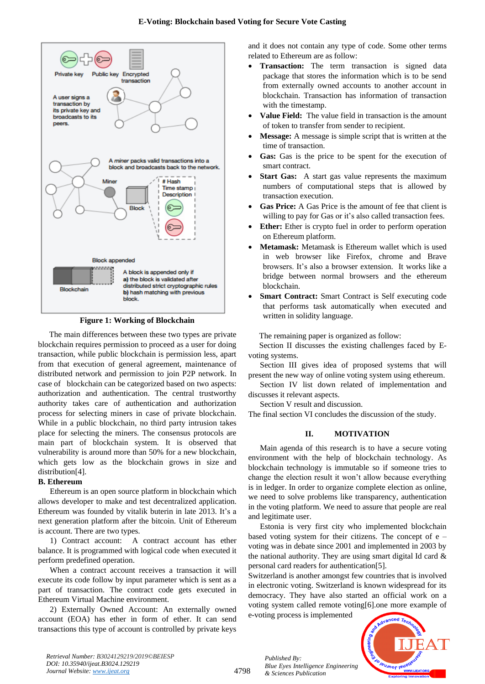

**Figure 1: Working of Blockchain**

The main differences between these two types are private blockchain requires permission to proceed as a user for doing transaction, while public blockchain is permission less, apart from that execution of general agreement, maintenance of distributed network and permission to join P2P network. In case of blockchain can be categorized based on two aspects: authorization and authentication. The central trustworthy authority takes care of authentication and authorization process for selecting miners in case of private blockchain. While in a public blockchain, no third party intrusion takes place for selecting the miners. The consensus protocols are main part of blockchain system. It is observed that vulnerability is around more than 50% for a new blockchain, which gets low as the blockchain grows in size and distribution<sup>[4]</sup>.

## **B. Ethereum**

Ethereum is an open source platform in blockchain which allows developer to make and test decentralized application. Ethereum was founded by vitalik buterin in late 2013. It's a next generation platform after the bitcoin. Unit of Ethereum is account. There are two types.

1) Contract account: A contract account has ether balance. It is programmed with logical code when executed it perform predefined operation.

When a contract account receives a transaction it will execute its code follow by input parameter which is sent as a part of transaction. The contract code gets executed in Ethereum Virtual Machine environment.

2) Externally Owned Account: An externally owned account (EOA) has ether in form of ether. It can send transactions this type of account is controlled by private keys

and it does not contain any type of code. Some other terms related to Ethereum are as follow:

- **Transaction:** The term transaction is signed data package that stores the information which is to be send from externally owned accounts to another account in blockchain. Transaction has information of transaction with the timestamp.
- **Value Field:** The value field in transaction is the amount of token to transfer from sender to recipient.
- **Message:** A message is simple script that is written at the time of transaction.
- **Gas:** Gas is the price to be spent for the execution of smart contract.
- **Start Gas:** A start gas value represents the maximum numbers of computational steps that is allowed by transaction execution.
- **Gas Price:** A Gas Price is the amount of fee that client is willing to pay for Gas or it's also called transaction fees.
- **Ether:** Ether is crypto fuel in order to perform operation on Ethereum platform.
- **Metamask:** Metamask is Ethereum wallet which is used in web browser like Firefox, chrome and Brave browsers. It's also a browser extension. It works like a bridge between normal browsers and the ethereum blockchain.
- **Smart Contract:** Smart Contract is Self executing code that performs task automatically when executed and written in solidity language.

The remaining paper is organized as follow:

Section II discusses the existing challenges faced by Evoting systems.

Section III gives idea of proposed systems that will present the new way of online voting system using ethereum.

Section IV list down related of implementation and discusses it relevant aspects.

Section V result and discussion.

The final section VI concludes the discussion of the study.

# **II. MOTIVATION**

Main agenda of this research is to have a secure voting environment with the help of blockchain technology. As blockchain technology is immutable so if someone tries to change the election result it won't allow because everything is in ledger. In order to organize complete election as online, we need to solve problems like transparency, authentication in the voting platform. We need to assure that people are real and legitimate user.

Estonia is very first city who implemented blockchain based voting system for their citizens. The concept of e – voting was in debate since 2001 and implemented in 2003 by the national authority. They are using smart digital Id card  $\&$ personal card readers for authentication[5].

Switzerland is another amongst few countries that is involved in electronic voting. Switzerland is known widespread for its democracy. They have also started an official work on a voting system called remote voting[6].one more example of

e-voting process is implemented



*Retrieval Number: B3024129219/2019©BEIESP DOI: 10.35940/ijeat.B3024.129219 Journal Website[: www.ijeat.org](http://www.ijeat.org/)*

*Published By: Blue Eyes Intelligence Engineering & Sciences Publication*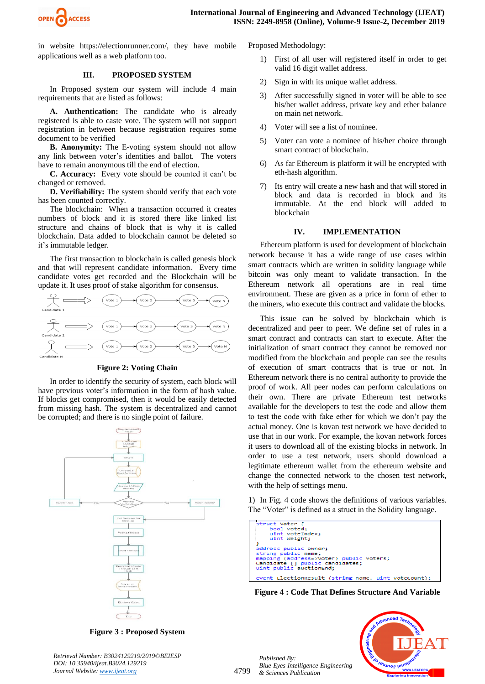

in website https://electionrunner.com/, they have mobile applications well as a web platform too.

## **III. PROPOSED SYSTEM**

In Proposed system our system will include 4 main requirements that are listed as follows:

**A. Authentication:** The candidate who is already registered is able to caste vote. The system will not support registration in between because registration requires some document to be verified

**B. Anonymity:** The E-voting system should not allow any link between voter's identities and ballot. The voters have to remain anonymous till the end of election.

**C. Accuracy:** Every vote should be counted it can't be changed or removed.

**D. Verifiability:** The system should verify that each vote has been counted correctly.

The blockchain: When a transaction occurred it creates numbers of block and it is stored there like linked list structure and chains of block that is why it is called blockchain. Data added to blockchain cannot be deleted so it's immutable ledger.

The first transaction to blockchain is called genesis block and that will represent candidate information. Every time candidate votes get recorded and the Blockchain will be update it. It uses proof of stake algorithm for consensus.



**Figure 2: Voting Chain**

In order to identify the security of system, each block will have previous voter's information in the form of hash value. If blocks get compromised, then it would be easily detected from missing hash. The system is decentralized and cannot be corrupted; and there is no single point of failure.



**Figure 3 : Proposed System**

Proposed Methodology:

- 1) First of all user will registered itself in order to get valid 16 digit wallet address.
- 2) Sign in with its unique wallet address.
- 3) After successfully signed in voter will be able to see his/her wallet address, private key and ether balance on main net network.
- 4) Voter will see a list of nominee.
- 5) Voter can vote a nominee of his/her choice through smart contract of blockchain.
- 6) As far Ethereum is platform it will be encrypted with eth-hash algorithm.
- 7) Its entry will create a new hash and that will stored in block and data is recorded in block and its immutable. At the end block will added to blockchain

#### **IV. IMPLEMENTATION**

Ethereum platform is used for development of blockchain network because it has a wide range of use cases within smart contracts which are written in solidity language while bitcoin was only meant to validate transaction. In the Ethereum network all operations are in real time environment. These are given as a price in form of ether to the miners, who execute this contract and validate the blocks.

This issue can be solved by blockchain which is decentralized and peer to peer. We define set of rules in a smart contract and contracts can start to execute. After the initialization of smart contract they cannot be removed nor modified from the blockchain and people can see the results of execution of smart contracts that is true or not. In Ethereum network there is no central authority to provide the proof of work. All peer nodes can perform calculations on their own. There are private Ethereum test networks available for the developers to test the code and allow them to test the code with fake ether for which we don't pay the actual money. One is kovan test network we have decided to use that in our work. For example, the kovan network forces it users to download all of the existing blocks in network. In order to use a test network, users should download a legitimate ethereum wallet from the ethereum website and change the connected network to the chosen test network, with the help of settings menu.

1) In Fig. 4 code shows the definitions of various variables. The "Voter" is defined as a struct in the Solidity language.

| struct Voter {<br>bool voted;<br>uint voteIndex;<br>uint Weight;                                                                                      |
|-------------------------------------------------------------------------------------------------------------------------------------------------------|
| address public owner;<br>string public name;<br>mapping (address=>Voter) public voters;<br>Candidate [] public candidates;<br>uint public auctionEnd; |
| event ElectionResult (string name, uint voteCount);                                                                                                   |

**Figure 4 : Code That Defines Structure And Variable**

*Published By: Blue Eyes Intelligence Engineering & Sciences Publication* 



*Retrieval Number: B3024129219/2019©BEIESP DOI: 10.35940/ijeat.B3024.129219 Journal Website[: www.ijeat.org](http://www.ijeat.org/)*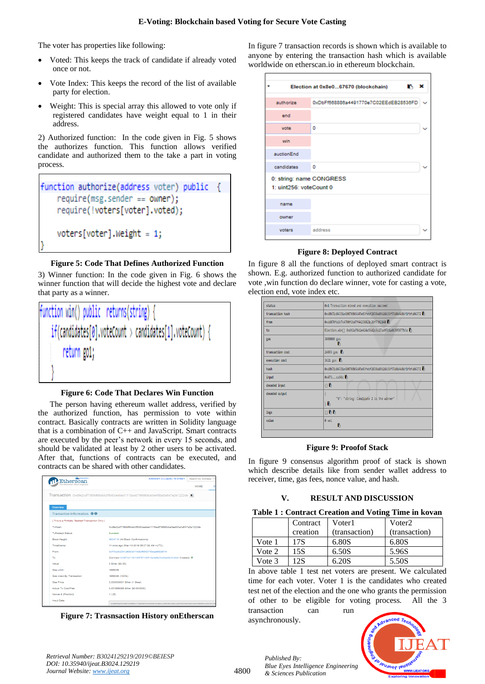The voter has properties like following:

- Voted: This keeps the track of candidate if already voted once or not.
- Vote Index: This keeps the record of the list of available party for election.
- Weight: This is special array this allowed to vote only if registered candidates have weight equal to 1 in their address.

2) Authorized function: In the code given in Fig. 5 shows the authorizes function. This function allows verified candidate and authorized them to the take a part in voting process.

| function authorize(address voter) public | $\mathcal{A}$ |
|------------------------------------------|---------------|
| $require(msg.sender == owner);$          |               |
| require(!voters[voter].voted);           |               |
| $voters[voter] . Weight = 1;$            |               |
|                                          |               |

#### **Figure 5: Code That Defines Authorized Function**

3) Winner function: In the code given in Fig. 6 shows the winner function that will decide the highest vote and declare that party as a winner.



#### **Figure 6: Code That Declares Win Function**

The person having ethereum wallet address, verified by the authorized function, has permission to vote within contract. Basically contracts are written in Solidity language that is a combination of C++ and JavaScript. Smart contracts are executed by the peer's network in every 15 seconds, and should be validated at least by 2 other users to be activated. After that, functions of contracts can be executed, and contracts can be shared with other candidates.

| <b>BL RINGERY</b><br>Etherscan                | Search by Address / Tx<br><b>RINKEBY (CLIQUE) TESTNET</b>                                                   |  |  |  |  |  |
|-----------------------------------------------|-------------------------------------------------------------------------------------------------------------|--|--|--|--|--|
| he Ethereum Block Explorer                    | <b>HOME</b>                                                                                                 |  |  |  |  |  |
|                                               | Transaction 0xd9e2cdf7369d66abb3f840ceebed1115aa579698dca0eefd3a3a647a2e1222de [b]                          |  |  |  |  |  |
| Overview                                      |                                                                                                             |  |  |  |  |  |
| Transaction Information <b>OO</b>             |                                                                                                             |  |  |  |  |  |
| [This is a Rinkeby Testnet Transaction Only ] |                                                                                                             |  |  |  |  |  |
| TyHash:                                       | OxdRe2odf7369d66abb3f840ceebed1115aa579698dca0eefd3a3a647a2e1222de                                          |  |  |  |  |  |
| <b>TxReceipt Status:</b>                      | <b>Success</b>                                                                                              |  |  |  |  |  |
| <b>Block Height:</b>                          | 4004715 (44 Block Confirmations)                                                                            |  |  |  |  |  |
| TimeStamp:                                    | 11 mins ago (Mar-10-2019 06:37:38 AM +UTC)                                                                  |  |  |  |  |  |
| From:                                         | 0yf70yr8rl251a4003rl719f82ff042710rlari0520514                                                              |  |  |  |  |  |
| To:                                           | [Contract 0x467cc179116476719f510e4e6a34a0ab0e3cc9a0 Created] @                                             |  |  |  |  |  |
| Value:                                        | 0 Ether (\$0.00)                                                                                            |  |  |  |  |  |
| Gas Limit:                                    | 1866386                                                                                                     |  |  |  |  |  |
| Gas Used By Transaction:                      | 1866386 (100%)                                                                                              |  |  |  |  |  |
| Gas Price:                                    | 0.000000001 Ether (1 Gwei)                                                                                  |  |  |  |  |  |
| Actual Tx Cost/Fee:                           | 0.001866386 Ether (\$0.000000)                                                                              |  |  |  |  |  |
| Nonce & (Position):                           | 1   35                                                                                                      |  |  |  |  |  |
| Input Data:                                   | 0x60006040523480156280001157600080fd5b5060405162801ba438038052801ba4833981010105040528101008085182810291020 |  |  |  |  |  |

**Figure 7: Trasnsaction History onEtherscan**

In figure 7 transaction records is shown which is available to anyone by entering the transaction hash which is available worldwide on etherscan.io in ethereum blockchain.

|                                                     | Election at 0x8e067670 (blockchain)   | × |
|-----------------------------------------------------|---------------------------------------|---|
| authorize                                           | 0xDbFf568886a4491770e7C02EEdEB28536FD |   |
| end                                                 |                                       |   |
| vote                                                | ٥                                     |   |
| win                                                 |                                       |   |
| auctionEnd                                          |                                       |   |
| candidates                                          | $\circ$                               |   |
| 0: string: name CONGRESS<br>1: uint256: voteCount 0 |                                       |   |
| name                                                |                                       |   |
| owner                                               |                                       |   |
| voters                                              | address                               |   |

#### **Figure 8: Deployed Contract**

In figure 8 all the functions of deployed smart contract is shown. E.g. authorized function to authorized candidate for vote ,win function do declare winner, vote for casting a vote, election end, vote index etc.

| status           | 0x1 Transaction mined and execution succeed                        |
|------------------|--------------------------------------------------------------------|
| transaction hash | 0xd0b71c04331e600708b5d45e83febf2038dd9b26b36f55d0d4d8df1fbfa86372 |
| from             | 0xdd870fa1b7c4700f2bd7f44238821c26f7392148                         |
| to               | Election.win() 0x692a70d2e424a56d2c6c27aa97d1a86395877b3a          |
| gas              | 3000000 gas<br>B                                                   |
| transaction cost | 24893 gas <sup>6</sup>                                             |
| execution cost   | 3621 gas <sup>6</sup>                                              |
| hash             | 0xd0b71c04331e600708b5d45e83febf2038dd9b26b36f55d0d4d8df1fbfa86372 |
| input            | 0x473ca96c<br>a series.                                            |
| decoded input    | $\theta$                                                           |
| decoded output   | €<br>"0": "string: Candidate 2 is the winner"<br>١B                |
| logs             | n B B                                                              |
| value            | 0 wei<br>В                                                         |

#### **Figure 9: Proofof Stack**

In figure 9 consensus algorithm proof of stack is shown which describe details like from sender wallet address to receiver, time, gas fees, nonce value, and hash.

#### **V. RESULT AND DISCUSSION**

|  | Table 1: Contract Creation and Voting Time in kovan |  |  |  |  |  |  |
|--|-----------------------------------------------------|--|--|--|--|--|--|
|--|-----------------------------------------------------|--|--|--|--|--|--|

| Contract |          | Voter 1       | Voter2        |  |  |  |
|----------|----------|---------------|---------------|--|--|--|
|          | creation | (transaction) | (transaction) |  |  |  |
| Vote 1   | 17S      | 6.80S         | 6.80S         |  |  |  |
| Vote 2   | 15S      | 6.50S         | 5.96S         |  |  |  |
| Vote 3   | 12S      | 6.20S         | 5.50S         |  |  |  |

In above table 1 test net voters are present. We calculated time for each voter. Voter 1 is the candidates who created test net of the election and the one who grants the permission of other to be eligible for voting process. All the 3 transaction can run

asynchronously.



*Retrieval Number: B3024129219/2019©BEIESP DOI: 10.35940/ijeat.B3024.129219 Journal Website[: www.ijeat.org](http://www.ijeat.org/)*

*Published By: Blue Eyes Intelligence Engineering & Sciences Publication*